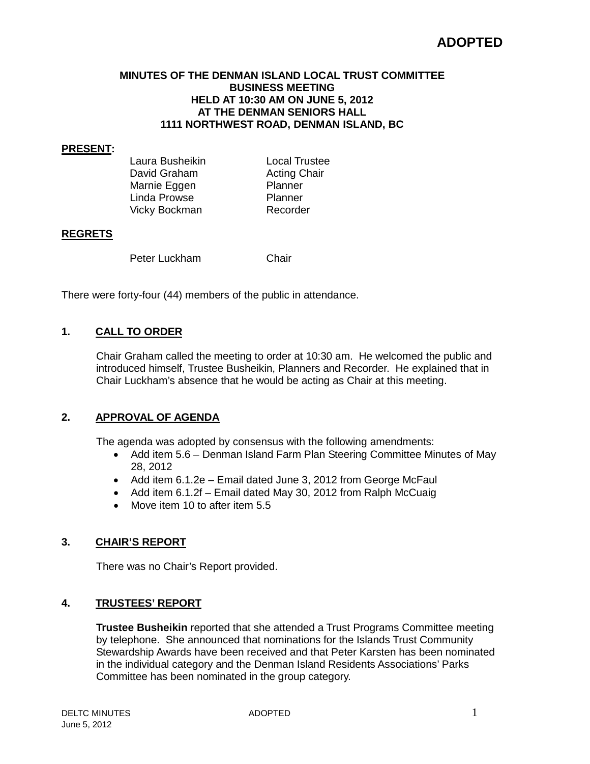# **ADOPTED**

#### **MINUTES OF THE DENMAN ISLAND LOCAL TRUST COMMITTEE BUSINESS MEETING HELD AT 10:30 AM ON JUNE 5, 2012 AT THE DENMAN SENIORS HALL 1111 NORTHWEST ROAD, DENMAN ISLAND, BC**

#### **PRESENT:**

Laura Busheikin Local Trustee<br>David Graham Acting Chair David Graham **Acting C**<br>
Marnie Fogen **Acting Container** Marnie Eggen Planner<br>Planner Planner Linda Prowse Vicky Bockman Recorder

#### **REGRETS**

Peter Luckham Chair

There were forty-four (44) members of the public in attendance.

## **1. CALL TO ORDER**

Chair Graham called the meeting to order at 10:30 am. He welcomed the public and introduced himself, Trustee Busheikin, Planners and Recorder. He explained that in Chair Luckham's absence that he would be acting as Chair at this meeting.

## **2. APPROVAL OF AGENDA**

The agenda was adopted by consensus with the following amendments:

- Add item 5.6 Denman Island Farm Plan Steering Committee Minutes of May 28, 2012
- Add item 6.1.2e Email dated June 3, 2012 from George McFaul
- Add item 6.1.2f Email dated May 30, 2012 from Ralph McCuaig
- Move item 10 to after item 5.5

## **3. CHAIR'S REPORT**

There was no Chair's Report provided.

## **4. TRUSTEES' REPORT**

**Trustee Busheikin** reported that she attended a Trust Programs Committee meeting by telephone. She announced that nominations for the Islands Trust Community Stewardship Awards have been received and that Peter Karsten has been nominated in the individual category and the Denman Island Residents Associations' Parks Committee has been nominated in the group category.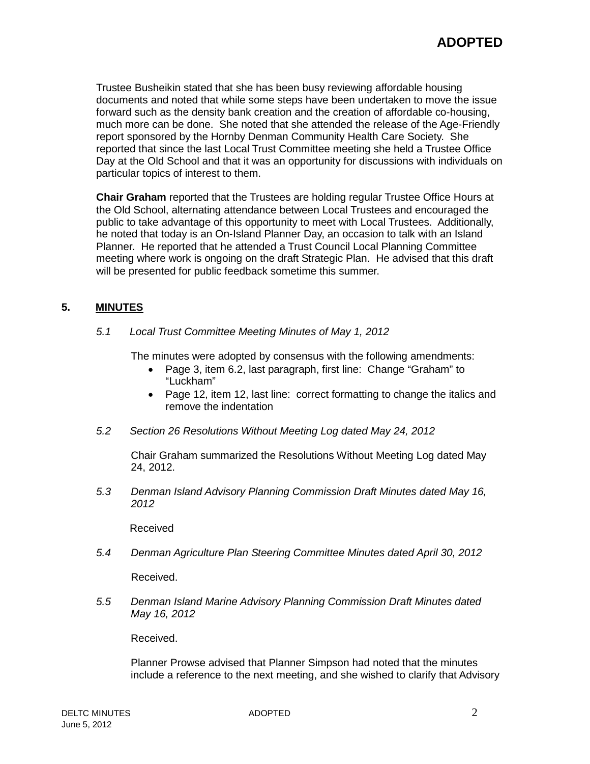Trustee Busheikin stated that she has been busy reviewing affordable housing documents and noted that while some steps have been undertaken to move the issue forward such as the density bank creation and the creation of affordable co-housing, much more can be done. She noted that she attended the release of the Age-Friendly report sponsored by the Hornby Denman Community Health Care Society. She reported that since the last Local Trust Committee meeting she held a Trustee Office Day at the Old School and that it was an opportunity for discussions with individuals on particular topics of interest to them.

**Chair Graham** reported that the Trustees are holding regular Trustee Office Hours at the Old School, alternating attendance between Local Trustees and encouraged the public to take advantage of this opportunity to meet with Local Trustees. Additionally, he noted that today is an On-Island Planner Day, an occasion to talk with an Island Planner. He reported that he attended a Trust Council Local Planning Committee meeting where work is ongoing on the draft Strategic Plan. He advised that this draft will be presented for public feedback sometime this summer.

# **5. MINUTES**

*5.1 Local Trust Committee Meeting Minutes of May 1, 2012*

The minutes were adopted by consensus with the following amendments:

- Page 3, item 6.2, last paragraph, first line: Change "Graham" to "Luckham"
- Page 12, item 12, last line: correct formatting to change the italics and remove the indentation
- *5.2 Section 26 Resolutions Without Meeting Log dated May 24, 2012*

Chair Graham summarized the Resolutions Without Meeting Log dated May 24, 2012.

*5.3 Denman Island Advisory Planning Commission Draft Minutes dated May 16, 2012*

Received

*5.4 Denman Agriculture Plan Steering Committee Minutes dated April 30, 2012*

Received.

*5.5 Denman Island Marine Advisory Planning Commission Draft Minutes dated May 16, 2012*

Received.

Planner Prowse advised that Planner Simpson had noted that the minutes include a reference to the next meeting, and she wished to clarify that Advisory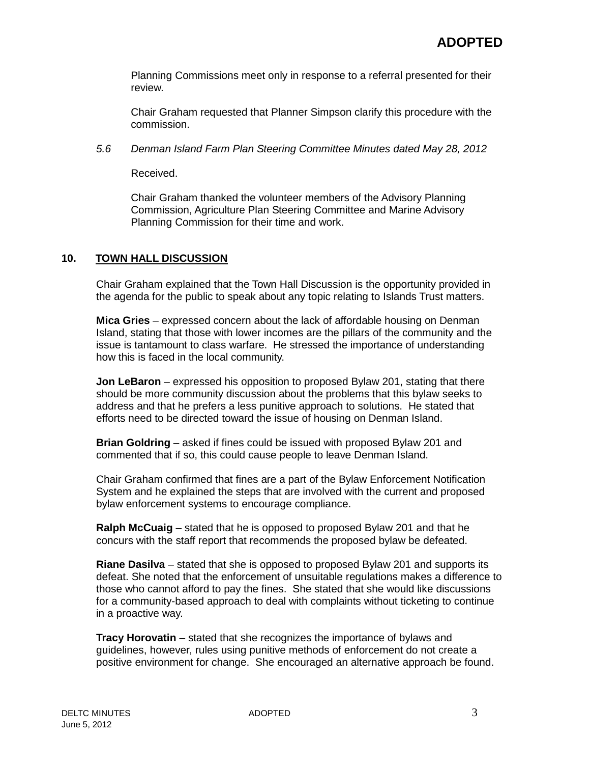Planning Commissions meet only in response to a referral presented for their review.

Chair Graham requested that Planner Simpson clarify this procedure with the commission.

*5.6 Denman Island Farm Plan Steering Committee Minutes dated May 28, 2012*

Received.

Chair Graham thanked the volunteer members of the Advisory Planning Commission, Agriculture Plan Steering Committee and Marine Advisory Planning Commission for their time and work.

# **10. TOWN HALL DISCUSSION**

Chair Graham explained that the Town Hall Discussion is the opportunity provided in the agenda for the public to speak about any topic relating to Islands Trust matters.

**Mica Gries** – expressed concern about the lack of affordable housing on Denman Island, stating that those with lower incomes are the pillars of the community and the issue is tantamount to class warfare. He stressed the importance of understanding how this is faced in the local community.

**Jon LeBaron** – expressed his opposition to proposed Bylaw 201, stating that there should be more community discussion about the problems that this bylaw seeks to address and that he prefers a less punitive approach to solutions. He stated that efforts need to be directed toward the issue of housing on Denman Island.

**Brian Goldring** – asked if fines could be issued with proposed Bylaw 201 and commented that if so, this could cause people to leave Denman Island.

Chair Graham confirmed that fines are a part of the Bylaw Enforcement Notification System and he explained the steps that are involved with the current and proposed bylaw enforcement systems to encourage compliance.

**Ralph McCuaig** – stated that he is opposed to proposed Bylaw 201 and that he concurs with the staff report that recommends the proposed bylaw be defeated.

**Riane Dasilva** – stated that she is opposed to proposed Bylaw 201 and supports its defeat. She noted that the enforcement of unsuitable regulations makes a difference to those who cannot afford to pay the fines. She stated that she would like discussions for a community-based approach to deal with complaints without ticketing to continue in a proactive way.

**Tracy Horovatin** – stated that she recognizes the importance of bylaws and guidelines, however, rules using punitive methods of enforcement do not create a positive environment for change. She encouraged an alternative approach be found.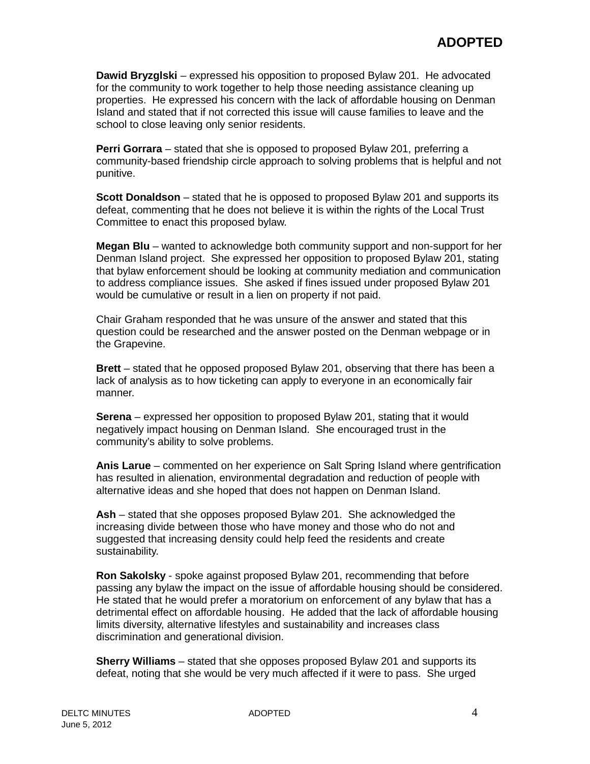**Dawid Bryzglski** – expressed his opposition to proposed Bylaw 201. He advocated for the community to work together to help those needing assistance cleaning up properties. He expressed his concern with the lack of affordable housing on Denman Island and stated that if not corrected this issue will cause families to leave and the school to close leaving only senior residents.

**Perri Gorrara** – stated that she is opposed to proposed Bylaw 201, preferring a community-based friendship circle approach to solving problems that is helpful and not punitive.

**Scott Donaldson** – stated that he is opposed to proposed Bylaw 201 and supports its defeat, commenting that he does not believe it is within the rights of the Local Trust Committee to enact this proposed bylaw.

**Megan Blu** – wanted to acknowledge both community support and non-support for her Denman Island project. She expressed her opposition to proposed Bylaw 201, stating that bylaw enforcement should be looking at community mediation and communication to address compliance issues. She asked if fines issued under proposed Bylaw 201 would be cumulative or result in a lien on property if not paid.

Chair Graham responded that he was unsure of the answer and stated that this question could be researched and the answer posted on the Denman webpage or in the Grapevine.

**Brett** – stated that he opposed proposed Bylaw 201, observing that there has been a lack of analysis as to how ticketing can apply to everyone in an economically fair manner.

**Serena** – expressed her opposition to proposed Bylaw 201, stating that it would negatively impact housing on Denman Island. She encouraged trust in the community's ability to solve problems.

**Anis Larue** – commented on her experience on Salt Spring Island where gentrification has resulted in alienation, environmental degradation and reduction of people with alternative ideas and she hoped that does not happen on Denman Island.

**Ash** – stated that she opposes proposed Bylaw 201. She acknowledged the increasing divide between those who have money and those who do not and suggested that increasing density could help feed the residents and create sustainability.

**Ron Sakolsky** - spoke against proposed Bylaw 201, recommending that before passing any bylaw the impact on the issue of affordable housing should be considered. He stated that he would prefer a moratorium on enforcement of any bylaw that has a detrimental effect on affordable housing. He added that the lack of affordable housing limits diversity, alternative lifestyles and sustainability and increases class discrimination and generational division.

**Sherry Williams** – stated that she opposes proposed Bylaw 201 and supports its defeat, noting that she would be very much affected if it were to pass. She urged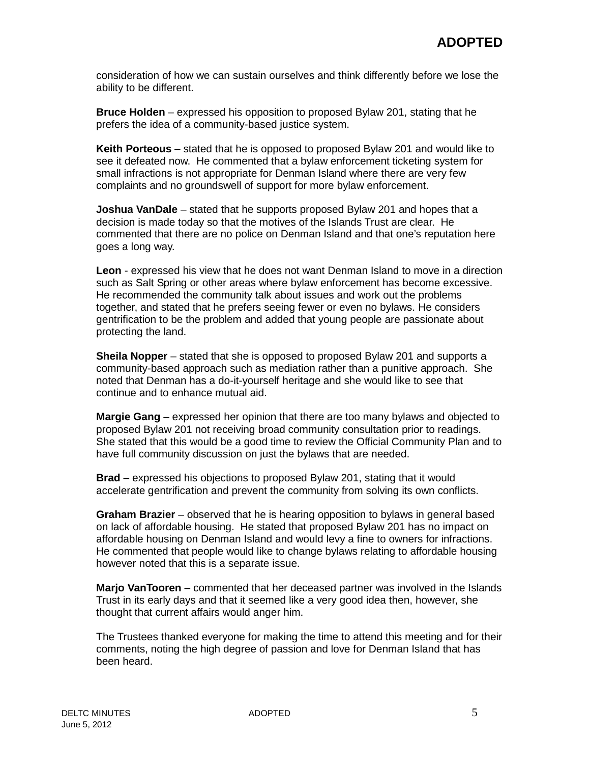consideration of how we can sustain ourselves and think differently before we lose the ability to be different.

**Bruce Holden** – expressed his opposition to proposed Bylaw 201, stating that he prefers the idea of a community-based justice system.

**Keith Porteous** – stated that he is opposed to proposed Bylaw 201 and would like to see it defeated now. He commented that a bylaw enforcement ticketing system for small infractions is not appropriate for Denman Island where there are very few complaints and no groundswell of support for more bylaw enforcement.

**Joshua VanDale** – stated that he supports proposed Bylaw 201 and hopes that a decision is made today so that the motives of the Islands Trust are clear. He commented that there are no police on Denman Island and that one's reputation here goes a long way.

**Leon** - expressed his view that he does not want Denman Island to move in a direction such as Salt Spring or other areas where bylaw enforcement has become excessive. He recommended the community talk about issues and work out the problems together, and stated that he prefers seeing fewer or even no bylaws. He considers gentrification to be the problem and added that young people are passionate about protecting the land.

**Sheila Nopper** – stated that she is opposed to proposed Bylaw 201 and supports a community-based approach such as mediation rather than a punitive approach. She noted that Denman has a do-it-yourself heritage and she would like to see that continue and to enhance mutual aid.

**Margie Gang** – expressed her opinion that there are too many bylaws and objected to proposed Bylaw 201 not receiving broad community consultation prior to readings. She stated that this would be a good time to review the Official Community Plan and to have full community discussion on just the bylaws that are needed.

**Brad** – expressed his objections to proposed Bylaw 201, stating that it would accelerate gentrification and prevent the community from solving its own conflicts.

**Graham Brazier** – observed that he is hearing opposition to bylaws in general based on lack of affordable housing. He stated that proposed Bylaw 201 has no impact on affordable housing on Denman Island and would levy a fine to owners for infractions. He commented that people would like to change bylaws relating to affordable housing however noted that this is a separate issue.

**Marjo VanTooren** – commented that her deceased partner was involved in the Islands Trust in its early days and that it seemed like a very good idea then, however, she thought that current affairs would anger him.

The Trustees thanked everyone for making the time to attend this meeting and for their comments, noting the high degree of passion and love for Denman Island that has been heard.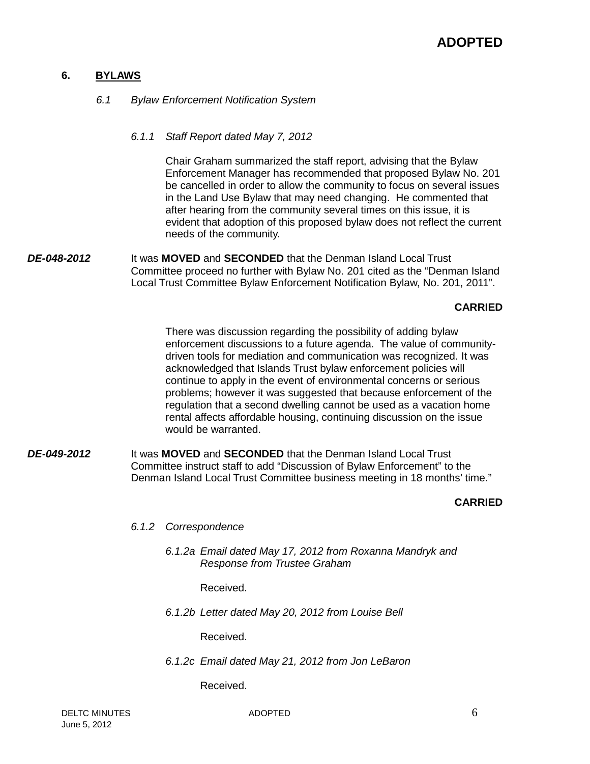## **6. BYLAWS**

*6.1 Bylaw Enforcement Notification System*

## *6.1.1 Staff Report dated May 7, 2012*

Chair Graham summarized the staff report, advising that the Bylaw Enforcement Manager has recommended that proposed Bylaw No. 201 be cancelled in order to allow the community to focus on several issues in the Land Use Bylaw that may need changing. He commented that after hearing from the community several times on this issue, it is evident that adoption of this proposed bylaw does not reflect the current needs of the community.

*DE-048-2012* It was **MOVED** and **SECONDED** that the Denman Island Local Trust Committee proceed no further with Bylaw No. 201 cited as the "Denman Island Local Trust Committee Bylaw Enforcement Notification Bylaw, No. 201, 2011".

#### **CARRIED**

There was discussion regarding the possibility of adding bylaw enforcement discussions to a future agenda. The value of communitydriven tools for mediation and communication was recognized. It was acknowledged that Islands Trust bylaw enforcement policies will continue to apply in the event of environmental concerns or serious problems; however it was suggested that because enforcement of the regulation that a second dwelling cannot be used as a vacation home rental affects affordable housing, continuing discussion on the issue would be warranted.

*DE-049-2012* It was **MOVED** and **SECONDED** that the Denman Island Local Trust Committee instruct staff to add "Discussion of Bylaw Enforcement" to the Denman Island Local Trust Committee business meeting in 18 months' time."

#### **CARRIED**

- *6.1.2 Correspondence*
	- *6.1.2a Email dated May 17, 2012 from Roxanna Mandryk and Response from Trustee Graham*

Received.

*6.1.2b Letter dated May 20, 2012 from Louise Bell*

Received.

*6.1.2c Email dated May 21, 2012 from Jon LeBaron*

Received.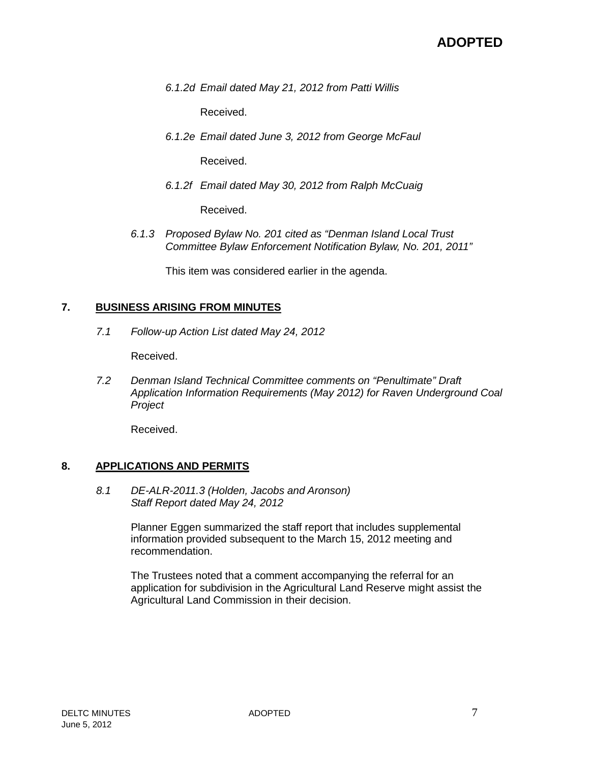*6.1.2d Email dated May 21, 2012 from Patti Willis*

Received.

*6.1.2e Email dated June 3, 2012 from George McFaul*

Received.

*6.1.2f Email dated May 30, 2012 from Ralph McCuaig*

Received.

*6.1.3 Proposed Bylaw No. 201 cited as "Denman Island Local Trust Committee Bylaw Enforcement Notification Bylaw, No. 201, 2011"*

This item was considered earlier in the agenda.

#### **7. BUSINESS ARISING FROM MINUTES**

*7.1 Follow-up Action List dated May 24, 2012*

Received.

*7.2 Denman Island Technical Committee comments on "Penultimate" Draft Application Information Requirements (May 2012) for Raven Underground Coal Project*

Received.

#### **8. APPLICATIONS AND PERMITS**

*8.1 DE-ALR-2011.3 (Holden, Jacobs and Aronson) Staff Report dated May 24, 2012*

> Planner Eggen summarized the staff report that includes supplemental information provided subsequent to the March 15, 2012 meeting and recommendation.

The Trustees noted that a comment accompanying the referral for an application for subdivision in the Agricultural Land Reserve might assist the Agricultural Land Commission in their decision.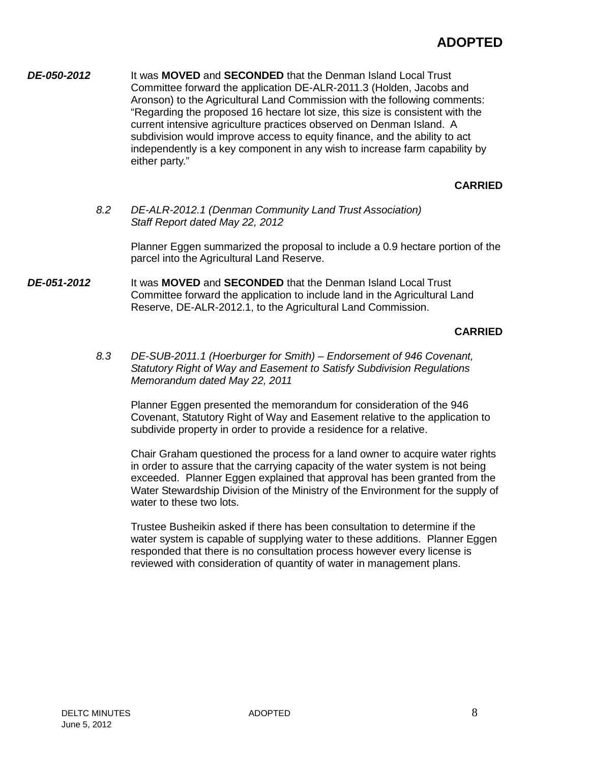*DE-050-2012* It was **MOVED** and **SECONDED** that the Denman Island Local Trust Committee forward the application DE-ALR-2011.3 (Holden, Jacobs and Aronson) to the Agricultural Land Commission with the following comments: "Regarding the proposed 16 hectare lot size, this size is consistent with the current intensive agriculture practices observed on Denman Island. A subdivision would improve access to equity finance, and the ability to act independently is a key component in any wish to increase farm capability by either party."

# **CARRIED**

*8.2 DE-ALR-2012.1 (Denman Community Land Trust Association) Staff Report dated May 22, 2012*

> Planner Eggen summarized the proposal to include a 0.9 hectare portion of the parcel into the Agricultural Land Reserve.

*DE-051-2012* It was **MOVED** and **SECONDED** that the Denman Island Local Trust Committee forward the application to include land in the Agricultural Land Reserve, DE-ALR-2012.1, to the Agricultural Land Commission.

# **CARRIED**

*8.3 DE-SUB-2011.1 (Hoerburger for Smith) – Endorsement of 946 Covenant, Statutory Right of Way and Easement to Satisfy Subdivision Regulations Memorandum dated May 22, 2011*

Planner Eggen presented the memorandum for consideration of the 946 Covenant, Statutory Right of Way and Easement relative to the application to subdivide property in order to provide a residence for a relative.

Chair Graham questioned the process for a land owner to acquire water rights in order to assure that the carrying capacity of the water system is not being exceeded. Planner Eggen explained that approval has been granted from the Water Stewardship Division of the Ministry of the Environment for the supply of water to these two lots.

Trustee Busheikin asked if there has been consultation to determine if the water system is capable of supplying water to these additions. Planner Eggen responded that there is no consultation process however every license is reviewed with consideration of quantity of water in management plans.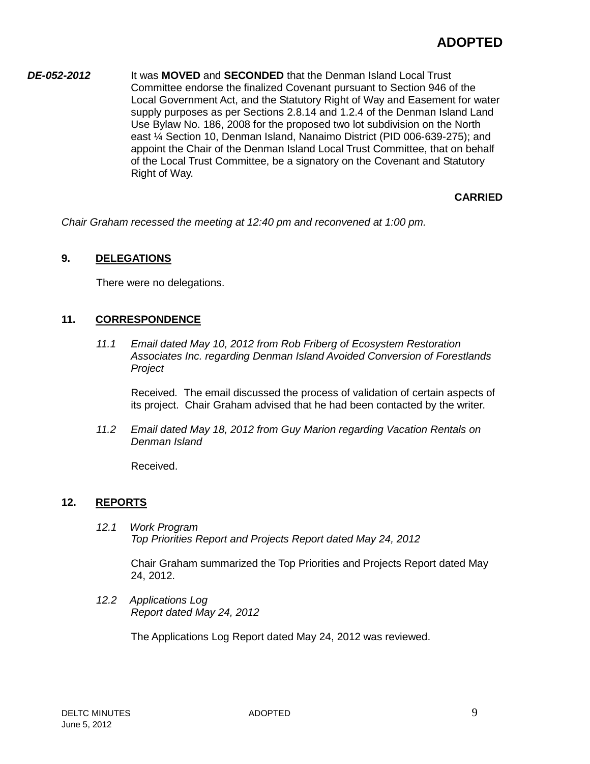*DE-052-2012* It was **MOVED** and **SECONDED** that the Denman Island Local Trust Committee endorse the finalized Covenant pursuant to Section 946 of the Local Government Act, and the Statutory Right of Way and Easement for water supply purposes as per Sections 2.8.14 and 1.2.4 of the Denman Island Land Use Bylaw No. 186, 2008 for the proposed two lot subdivision on the North east ¼ Section 10, Denman Island, Nanaimo District (PID 006-639-275); and appoint the Chair of the Denman Island Local Trust Committee, that on behalf of the Local Trust Committee, be a signatory on the Covenant and Statutory Right of Way.

# **CARRIED**

*Chair Graham recessed the meeting at 12:40 pm and reconvened at 1:00 pm.*

# **9. DELEGATIONS**

There were no delegations.

## **11. CORRESPONDENCE**

*11.1 Email dated May 10, 2012 from Rob Friberg of Ecosystem Restoration Associates Inc. regarding Denman Island Avoided Conversion of Forestlands Project*

Received*.* The email discussed the process of validation of certain aspects of its project. Chair Graham advised that he had been contacted by the writer.

*11.2 Email dated May 18, 2012 from Guy Marion regarding Vacation Rentals on Denman Island*

Received.

## **12. REPORTS**

*12.1 Work Program Top Priorities Report and Projects Report dated May 24, 2012*

> Chair Graham summarized the Top Priorities and Projects Report dated May 24, 2012.

*12.2 Applications Log Report dated May 24, 2012*

The Applications Log Report dated May 24, 2012 was reviewed.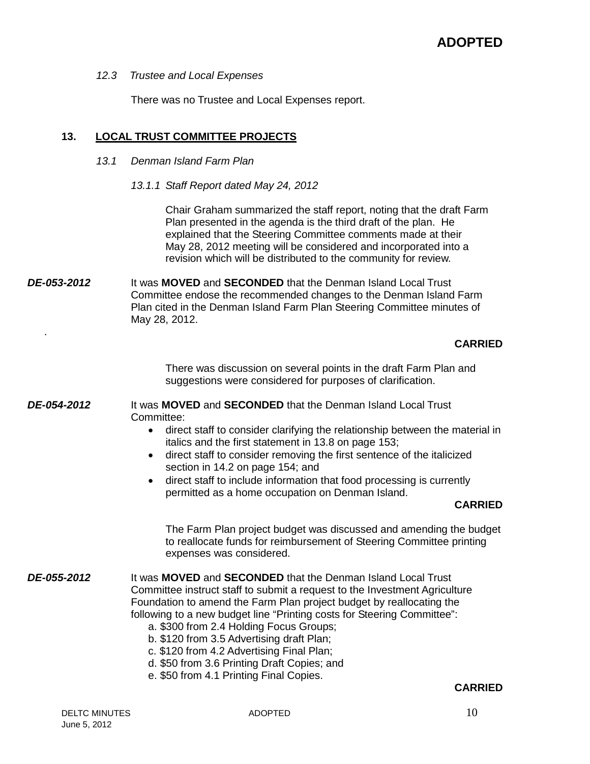*12.3 Trustee and Local Expenses*

There was no Trustee and Local Expenses report.

# **13. LOCAL TRUST COMMITTEE PROJECTS**

#### *13.1 Denman Island Farm Plan*

*13.1.1 Staff Report dated May 24, 2012*

Chair Graham summarized the staff report, noting that the draft Farm Plan presented in the agenda is the third draft of the plan. He explained that the Steering Committee comments made at their May 28, 2012 meeting will be considered and incorporated into a revision which will be distributed to the community for review.

*DE-053-2012* It was **MOVED** and **SECONDED** that the Denman Island Local Trust Committee endose the recommended changes to the Denman Island Farm Plan cited in the Denman Island Farm Plan Steering Committee minutes of May 28, 2012.

## **CARRIED**

There was discussion on several points in the draft Farm Plan and suggestions were considered for purposes of clarification.

*DE-054-2012* It was **MOVED** and **SECONDED** that the Denman Island Local Trust Committee:

- direct staff to consider clarifying the relationship between the material in italics and the first statement in 13.8 on page 153;
- direct staff to consider removing the first sentence of the italicized section in 14.2 on page 154; and
- direct staff to include information that food processing is currently permitted as a home occupation on Denman Island.

#### **CARRIED**

The Farm Plan project budget was discussed and amending the budget to reallocate funds for reimbursement of Steering Committee printing expenses was considered.

- *DE-055-2012* It was **MOVED** and **SECONDED** that the Denman Island Local Trust Committee instruct staff to submit a request to the Investment Agriculture Foundation to amend the Farm Plan project budget by reallocating the following to a new budget line "Printing costs for Steering Committee":
	- a. \$300 from 2.4 Holding Focus Groups;
	- b. \$120 from 3.5 Advertising draft Plan;
	- c. \$120 from 4.2 Advertising Final Plan;
	- d. \$50 from 3.6 Printing Draft Copies; and
	- e. \$50 from 4.1 Printing Final Copies.

## **CARRIED**

.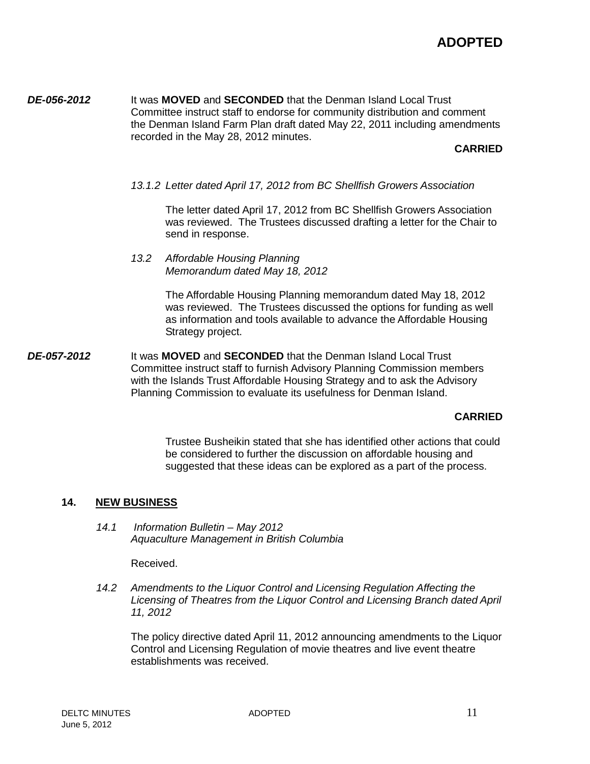*DE-056-2012* It was **MOVED** and **SECONDED** that the Denman Island Local Trust Committee instruct staff to endorse for community distribution and comment the Denman Island Farm Plan draft dated May 22, 2011 including amendments recorded in the May 28, 2012 minutes.

#### **CARRIED**

*13.1.2 Letter dated April 17, 2012 from BC Shellfish Growers Association*

The letter dated April 17, 2012 from BC Shellfish Growers Association was reviewed. The Trustees discussed drafting a letter for the Chair to send in response.

*13.2 Affordable Housing Planning Memorandum dated May 18, 2012*

> The Affordable Housing Planning memorandum dated May 18, 2012 was reviewed. The Trustees discussed the options for funding as well as information and tools available to advance the Affordable Housing Strategy project.

*DE-057-2012* It was **MOVED** and **SECONDED** that the Denman Island Local Trust Committee instruct staff to furnish Advisory Planning Commission members with the Islands Trust Affordable Housing Strategy and to ask the Advisory Planning Commission to evaluate its usefulness for Denman Island.

## **CARRIED**

Trustee Busheikin stated that she has identified other actions that could be considered to further the discussion on affordable housing and suggested that these ideas can be explored as a part of the process.

## **14. NEW BUSINESS**

*14.1 Information Bulletin – May 2012 Aquaculture Management in British Columbia*

Received.

*14.2 Amendments to the Liquor Control and Licensing Regulation Affecting the Licensing of Theatres from the Liquor Control and Licensing Branch dated April 11, 2012*

The policy directive dated April 11, 2012 announcing amendments to the Liquor Control and Licensing Regulation of movie theatres and live event theatre establishments was received.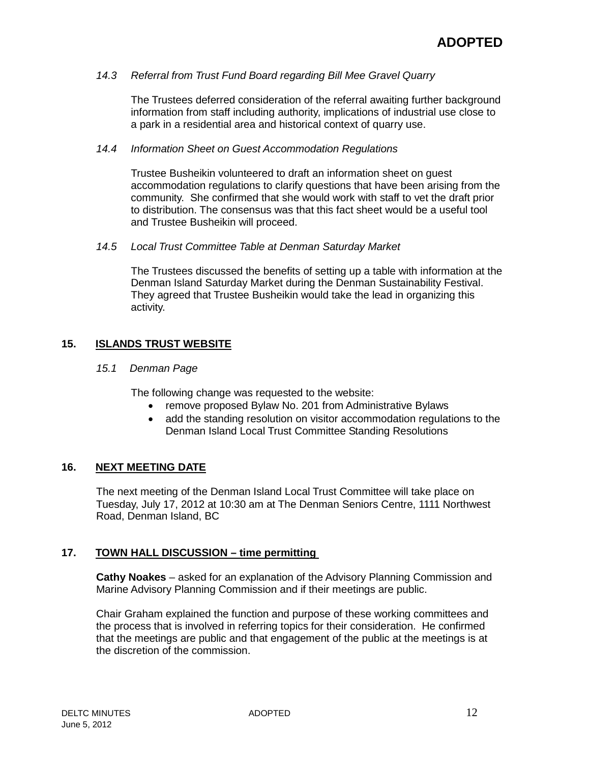## *14.3 Referral from Trust Fund Board regarding Bill Mee Gravel Quarry*

The Trustees deferred consideration of the referral awaiting further background information from staff including authority, implications of industrial use close to a park in a residential area and historical context of quarry use.

#### *14.4 Information Sheet on Guest Accommodation Regulations*

Trustee Busheikin volunteered to draft an information sheet on guest accommodation regulations to clarify questions that have been arising from the community. She confirmed that she would work with staff to vet the draft prior to distribution. The consensus was that this fact sheet would be a useful tool and Trustee Busheikin will proceed.

#### *14.5 Local Trust Committee Table at Denman Saturday Market*

The Trustees discussed the benefits of setting up a table with information at the Denman Island Saturday Market during the Denman Sustainability Festival. They agreed that Trustee Busheikin would take the lead in organizing this activity.

# **15. ISLANDS TRUST WEBSITE**

#### *15.1 Denman Page*

The following change was requested to the website:

- remove proposed Bylaw No. 201 from Administrative Bylaws
- add the standing resolution on visitor accommodation regulations to the Denman Island Local Trust Committee Standing Resolutions

## **16. NEXT MEETING DATE**

The next meeting of the Denman Island Local Trust Committee will take place on Tuesday, July 17, 2012 at 10:30 am at The Denman Seniors Centre, 1111 Northwest Road, Denman Island, BC

## **17. TOWN HALL DISCUSSION – time permitting**

**Cathy Noakes** – asked for an explanation of the Advisory Planning Commission and Marine Advisory Planning Commission and if their meetings are public.

Chair Graham explained the function and purpose of these working committees and the process that is involved in referring topics for their consideration. He confirmed that the meetings are public and that engagement of the public at the meetings is at the discretion of the commission.